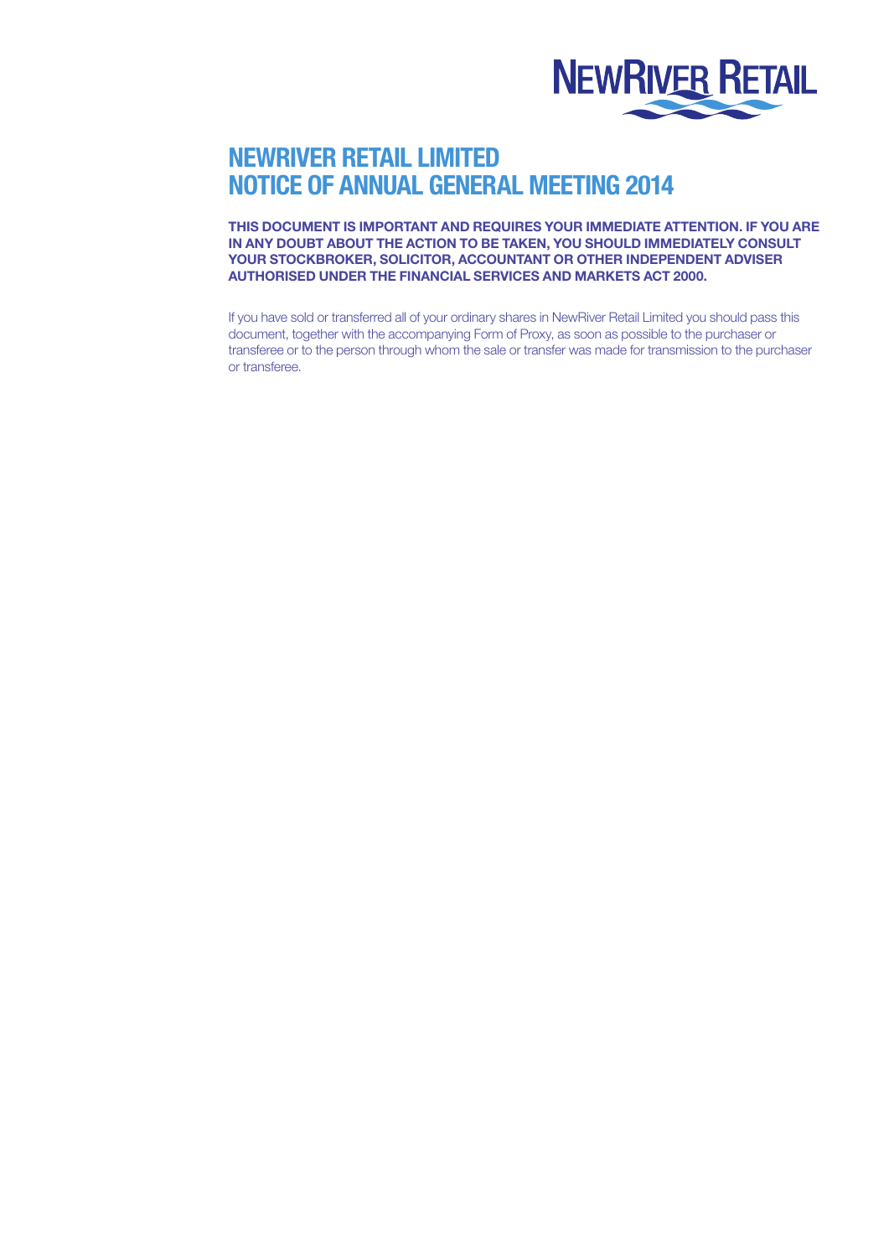

# NEWRIVER RETAIL LIMITED NOTICE OF ANNUAL GENERAL MEETING 2014

THIS DOCUMENT IS IMPORTANT AND REQUIRES YOUR IMMEDIATE ATTENTION. IF YOU ARE IN ANY DOUBT ABOUT THE ACTION TO BE TAKEN, YOU SHOULD IMMEDIATELY CONSULT YOUR STOCKBROKER, SOLICITOR, ACCOUNTANT OR OTHER INDEPENDENT ADVISER AUTHORISED UNDER THE FINANCIAL SERVICES AND MARKETS ACT 2000.

If you have sold or transferred all of your ordinary shares in NewRiver Retail Limited you should pass this document, together with the accompanying Form of Proxy, as soon as possible to the purchaser or transferee or to the person through whom the sale or transfer was made for transmission to the purchaser or transferee.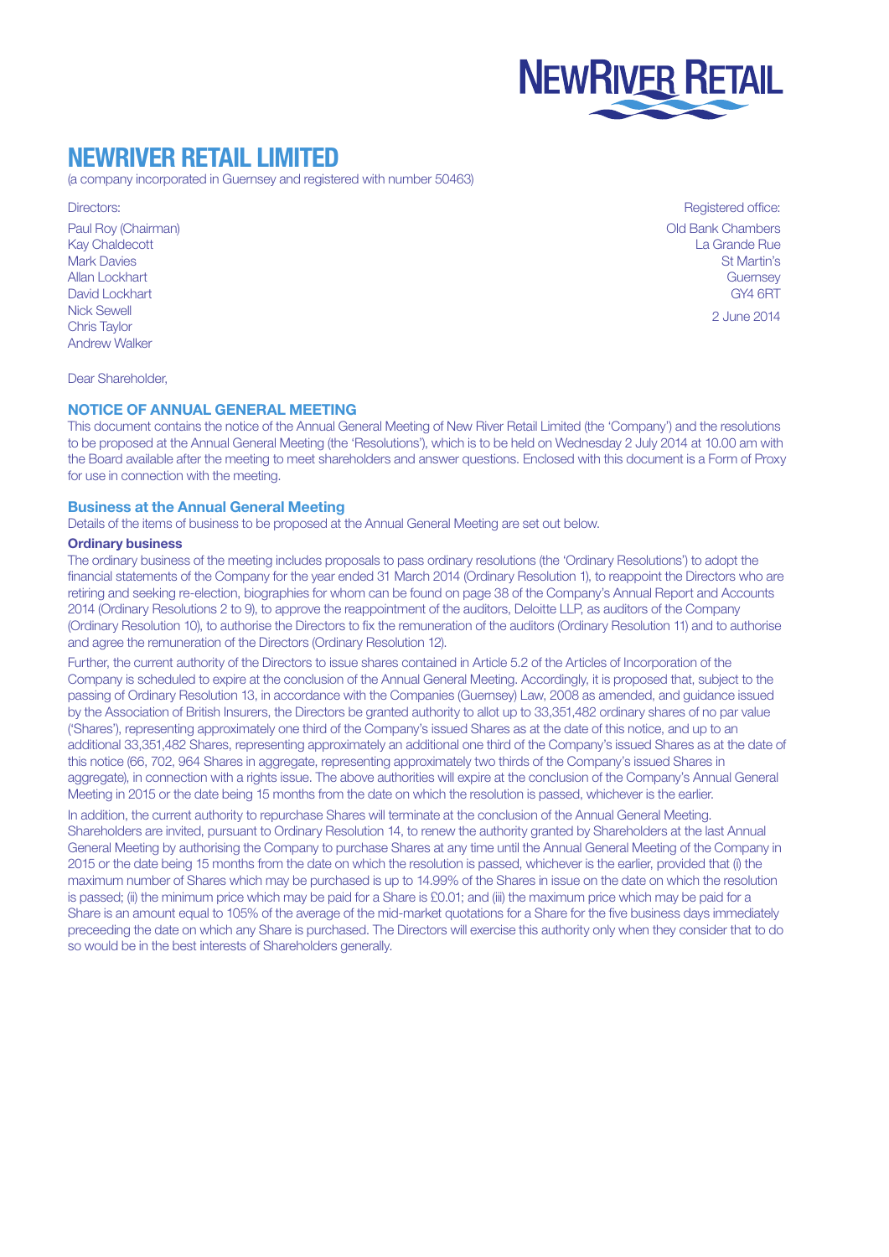

# NEWRIVER RETAIL LIMITED

(a company incorporated in Guernsey and registered with number 50463)

# Directors:

Paul Roy (Chairman) Kay Chaldecott Mark Davies Allan Lockhart David Lockhart Nick Sewell Chris Taylor Andrew Walker

Registered office: Old Bank Chambers La Grande Rue St Martin's **Guernsey** GY4 6RT

2 June 2014

Dear Shareholder,

# NOTICE OF ANNUAL GENERAL MEETING

This document contains the notice of the Annual General Meeting of New River Retail Limited (the 'Company') and the resolutions to be proposed at the Annual General Meeting (the 'Resolutions'), which is to be held on Wednesday 2 July 2014 at 10.00 am with the Board available after the meeting to meet shareholders and answer questions. Enclosed with this document is a Form of Proxy for use in connection with the meeting.

### Business at the Annual General Meeting

Details of the items of business to be proposed at the Annual General Meeting are set out below.

### Ordinary business

The ordinary business of the meeting includes proposals to pass ordinary resolutions (the 'Ordinary Resolutions') to adopt the financial statements of the Company for the year ended 31 March 2014 (Ordinary Resolution 1), to reappoint the Directors who are retiring and seeking re-election, biographies for whom can be found on page 38 of the Company's Annual Report and Accounts 2014 (Ordinary Resolutions 2 to 9), to approve the reappointment of the auditors, Deloitte LLP, as auditors of the Company (Ordinary Resolution 10), to authorise the Directors to fix the remuneration of the auditors (Ordinary Resolution 11) and to authorise and agree the remuneration of the Directors (Ordinary Resolution 12).

Further, the current authority of the Directors to issue shares contained in Article 5.2 of the Articles of Incorporation of the Company is scheduled to expire at the conclusion of the Annual General Meeting. Accordingly, it is proposed that, subject to the passing of Ordinary Resolution 13, in accordance with the Companies (Guernsey) Law, 2008 as amended, and guidance issued by the Association of British Insurers, the Directors be granted authority to allot up to 33,351,482 ordinary shares of no par value ('Shares'), representing approximately one third of the Company's issued Shares as at the date of this notice, and up to an additional 33,351,482 Shares, representing approximately an additional one third of the Company's issued Shares as at the date of this notice (66, 702, 964 Shares in aggregate, representing approximately two thirds of the Company's issued Shares in aggregate), in connection with a rights issue. The above authorities will expire at the conclusion of the Company's Annual General Meeting in 2015 or the date being 15 months from the date on which the resolution is passed, whichever is the earlier.

In addition, the current authority to repurchase Shares will terminate at the conclusion of the Annual General Meeting. Shareholders are invited, pursuant to Ordinary Resolution 14, to renew the authority granted by Shareholders at the last Annual General Meeting by authorising the Company to purchase Shares at any time until the Annual General Meeting of the Company in 2015 or the date being 15 months from the date on which the resolution is passed, whichever is the earlier, provided that (i) the maximum number of Shares which may be purchased is up to 14.99% of the Shares in issue on the date on which the resolution is passed; (ii) the minimum price which may be paid for a Share is £0.01; and (iii) the maximum price which may be paid for a Share is an amount equal to 105% of the average of the mid-market quotations for a Share for the five business days immediately preceeding the date on which any Share is purchased. The Directors will exercise this authority only when they consider that to do so would be in the best interests of Shareholders generally.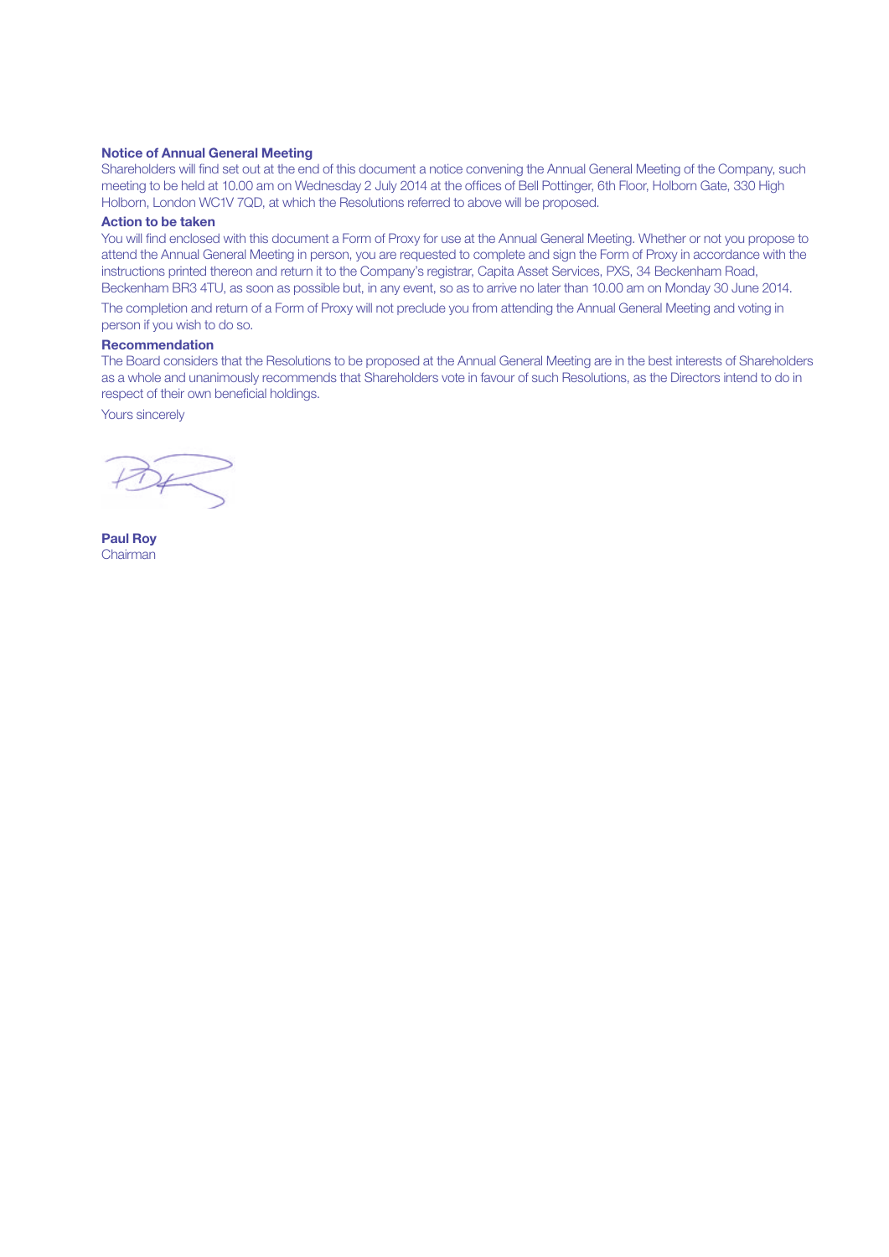#### Notice of Annual General Meeting

Shareholders will find set out at the end of this document a notice convening the Annual General Meeting of the Company, such meeting to be held at 10.00 am on Wednesday 2 July 2014 at the offices of Bell Pottinger, 6th Floor, Holborn Gate, 330 High Holborn, London WC1V 7QD, at which the Resolutions referred to above will be proposed.

### Action to be taken

You will find enclosed with this document a Form of Proxy for use at the Annual General Meeting. Whether or not you propose to attend the Annual General Meeting in person, you are requested to complete and sign the Form of Proxy in accordance with the instructions printed thereon and return it to the Company's registrar, Capita Asset Services, PXS, 34 Beckenham Road, Beckenham BR3 4TU, as soon as possible but, in any event, so as to arrive no later than 10.00 am on Monday 30 June 2014.

The completion and return of a Form of Proxy will not preclude you from attending the Annual General Meeting and voting in person if you wish to do so.

# Recommendation

The Board considers that the Resolutions to be proposed at the Annual General Meeting are in the best interests of Shareholders as a whole and unanimously recommends that Shareholders vote in favour of such Resolutions, as the Directors intend to do in respect of their own beneficial holdings.

Yours sincerely

Paul Roy Chairman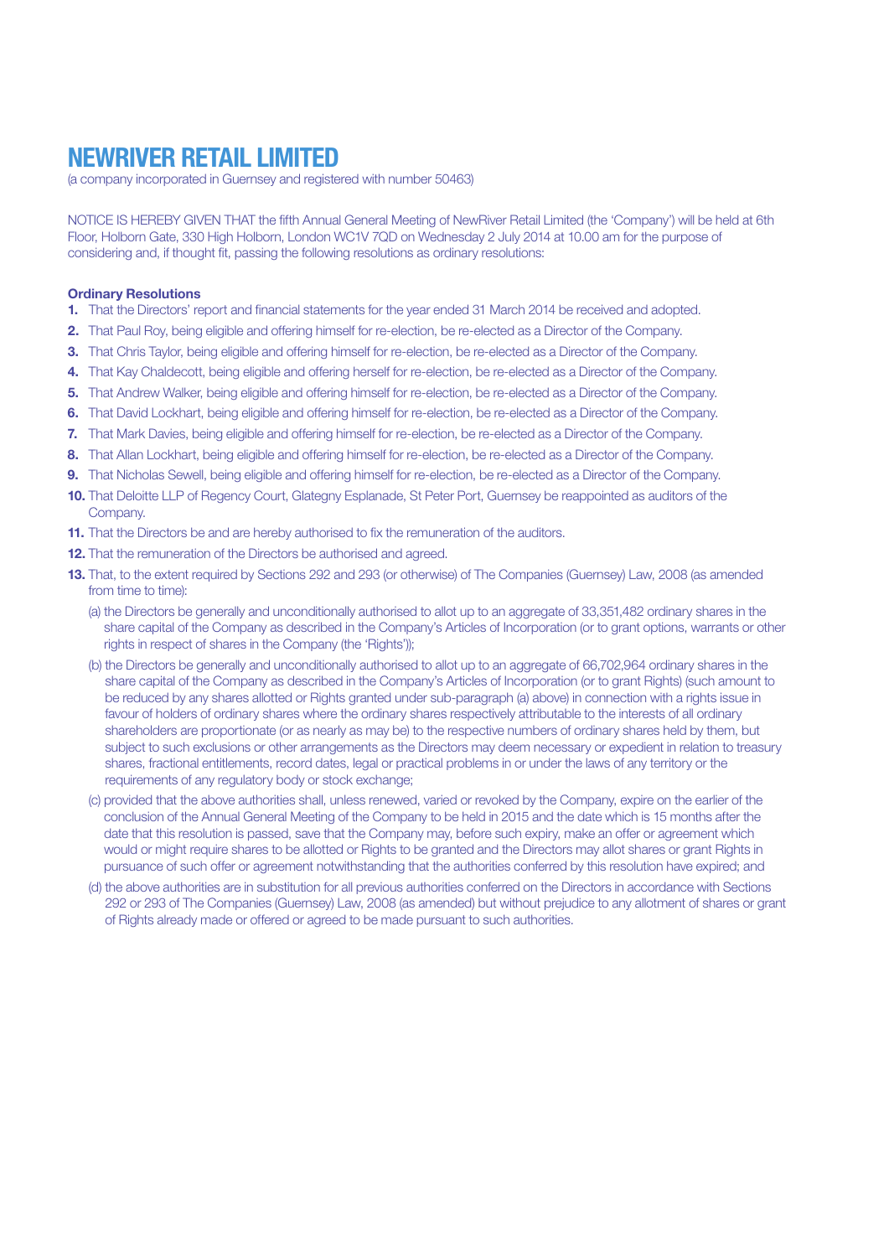# NEWRIVER RETAIL LIMITED

(a company incorporated in Guernsey and registered with number 50463)

NOTICE IS HEREBY GIVEN THAT the fifth Annual General Meeting of NewRiver Retail Limited (the 'Company') will be held at 6th Floor, Holborn Gate, 330 High Holborn, London WC1V 7QD on Wednesday 2 July 2014 at 10.00 am for the purpose of considering and, if thought fit, passing the following resolutions as ordinary resolutions:

#### Ordinary Resolutions

- 1. That the Directors' report and financial statements for the year ended 31 March 2014 be received and adopted.
- 2. That Paul Roy, being eligible and offering himself for re-election, be re-elected as a Director of the Company.
- 3. That Chris Taylor, being eligible and offering himself for re-election, be re-elected as a Director of the Company.
- 4. That Kay Chaldecott, being eligible and offering herself for re-election, be re-elected as a Director of the Company.
- 5. That Andrew Walker, being eligible and offering himself for re-election, be re-elected as a Director of the Company.
- 6. That David Lockhart, being eligible and offering himself for re-election, be re-elected as a Director of the Company.
- 7. That Mark Davies, being eligible and offering himself for re-election, be re-elected as a Director of the Company.
- 8. That Allan Lockhart, being eligible and offering himself for re-election, be re-elected as a Director of the Company.
- 9. That Nicholas Sewell, being eligible and offering himself for re-election, be re-elected as a Director of the Company.
- 10. That Deloitte LLP of Regency Court, Glategny Esplanade, St Peter Port, Guernsey be reappointed as auditors of the Company.
- 11. That the Directors be and are hereby authorised to fix the remuneration of the auditors.
- 12. That the remuneration of the Directors be authorised and agreed.
- 13. That, to the extent required by Sections 292 and 293 (or otherwise) of The Companies (Guernsey) Law, 2008 (as amended from time to time).
	- (a) the Directors be generally and unconditionally authorised to allot up to an aggregate of 33,351,482 ordinary shares in the share capital of the Company as described in the Company's Articles of Incorporation (or to grant options, warrants or other rights in respect of shares in the Company (the 'Rights'));
	- (b) the Directors be generally and unconditionally authorised to allot up to an aggregate of 66,702,964 ordinary shares in the share capital of the Company as described in the Company's Articles of Incorporation (or to grant Rights) (such amount to be reduced by any shares allotted or Rights granted under sub-paragraph (a) above) in connection with a rights issue in favour of holders of ordinary shares where the ordinary shares respectively attributable to the interests of all ordinary shareholders are proportionate (or as nearly as may be) to the respective numbers of ordinary shares held by them, but subject to such exclusions or other arrangements as the Directors may deem necessary or expedient in relation to treasury shares, fractional entitlements, record dates, legal or practical problems in or under the laws of any territory or the requirements of any regulatory body or stock exchange;
	- (c) provided that the above authorities shall, unless renewed, varied or revoked by the Company, expire on the earlier of the conclusion of the Annual General Meeting of the Company to be held in 2015 and the date which is 15 months after the date that this resolution is passed, save that the Company may, before such expiry, make an offer or agreement which would or might require shares to be allotted or Rights to be granted and the Directors may allot shares or grant Rights in pursuance of such offer or agreement notwithstanding that the authorities conferred by this resolution have expired; and
	- (d) the above authorities are in substitution for all previous authorities conferred on the Directors in accordance with Sections 292 or 293 of The Companies (Guernsey) Law, 2008 (as amended) but without prejudice to any allotment of shares or grant of Rights already made or offered or agreed to be made pursuant to such authorities.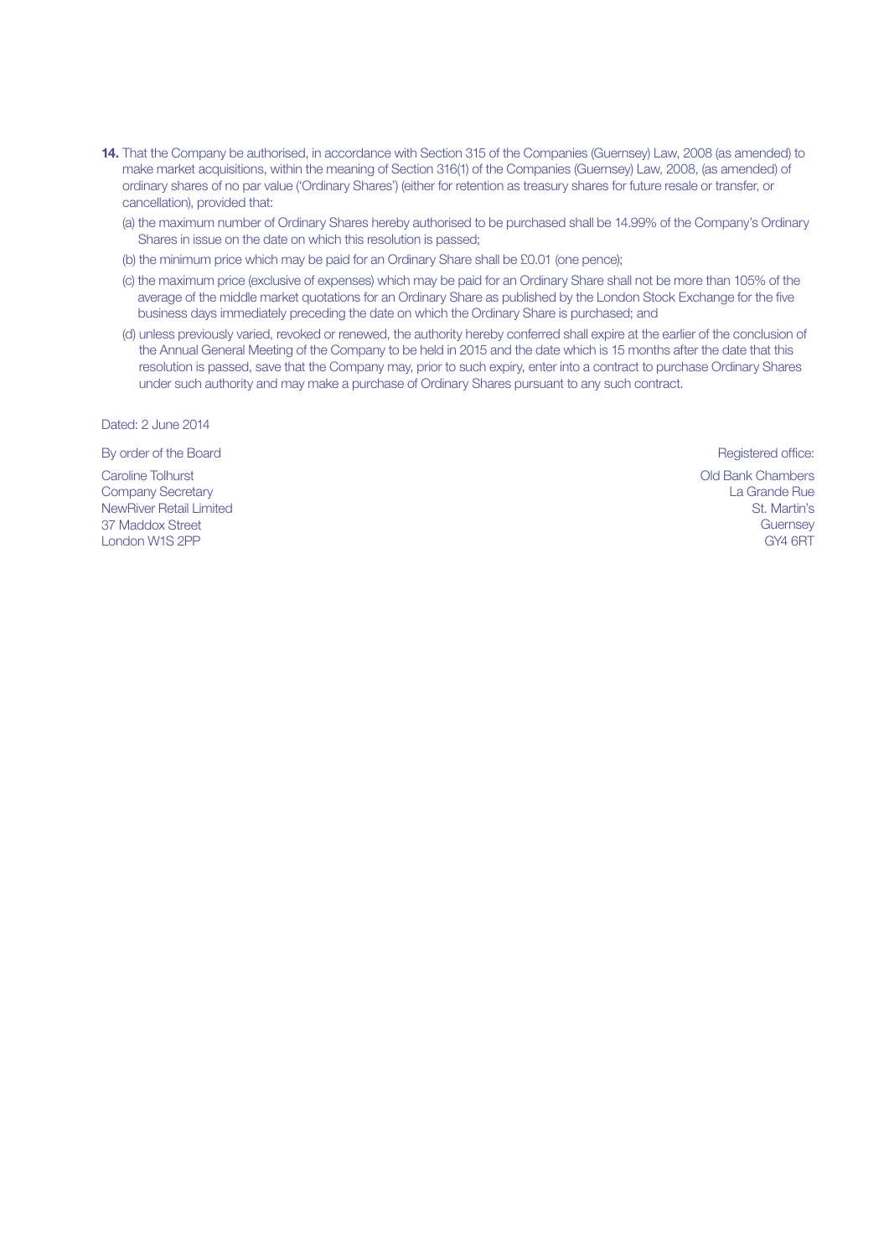- 14. That the Company be authorised, in accordance with Section 315 of the Companies (Guernsey) Law, 2008 (as amended) to make market acquisitions, within the meaning of Section 316(1) of the Companies (Guernsey) Law, 2008, (as amended) of ordinary shares of no par value ('Ordinary Shares') (either for retention as treasury shares for future resale or transfer, or cancellation), provided that:
	- (a) the maximum number of Ordinary Shares hereby authorised to be purchased shall be 14.99% of the Company's Ordinary Shares in issue on the date on which this resolution is passed;
	- (b) the minimum price which may be paid for an Ordinary Share shall be £0.01 (one pence);
	- (c) the maximum price (exclusive of expenses) which may be paid for an Ordinary Share shall not be more than 105% of the average of the middle market quotations for an Ordinary Share as published by the London Stock Exchange for the five business days immediately preceding the date on which the Ordinary Share is purchased; and
	- (d) unless previously varied, revoked or renewed, the authority hereby conferred shall expire at the earlier of the conclusion of the Annual General Meeting of the Company to be held in 2015 and the date which is 15 months after the date that this resolution is passed, save that the Company may, prior to such expiry, enter into a contract to purchase Ordinary Shares under such authority and may make a purchase of Ordinary Shares pursuant to any such contract.

Dated: 2 June 2014

By order of the Board Registered office: **Board** Registered office:

Caroline Tolhurst Company Secretary NewRiver Retail Limited 37 Maddox Street London W1S 2PP

Old Bank Chambers La Grande Rue St. Martin's **Guernsey** GY4 6RT